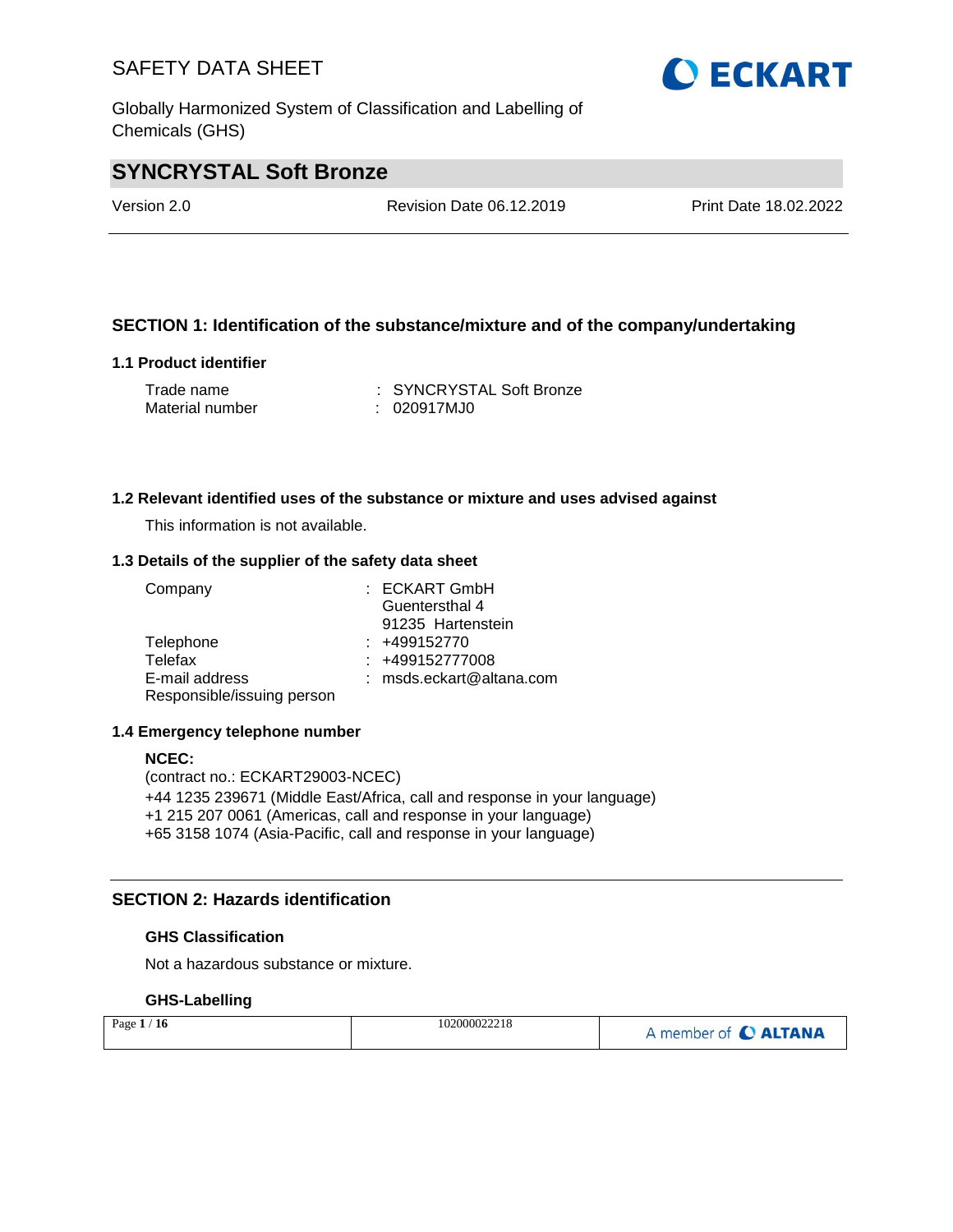Globally Harmonized System of Classification and Labelling of Chemicals (GHS)

# **SYNCRYSTAL Soft Bronze**

Version 2.0 Revision Date 06.12.2019 Print Date 18.02.2022

# **SECTION 1: Identification of the substance/mixture and of the company/undertaking**

### **1.1 Product identifier**

| Trade name      | : SYNCRYSTAL Soft Bronze |
|-----------------|--------------------------|
| Material number | : 020917MJ0              |

### **1.2 Relevant identified uses of the substance or mixture and uses advised against**

This information is not available.

#### **1.3 Details of the supplier of the safety data sheet**

| Company                    | $:$ ECKART GmbH            |
|----------------------------|----------------------------|
|                            | Guentersthal 4             |
|                            | 91235 Hartenstein          |
| Telephone                  | $: +499152770$             |
| Telefax                    | $: +499152777008$          |
| E-mail address             | $:$ msds.eckart@altana.com |
| Responsible/issuing person |                            |

#### **1.4 Emergency telephone number**

#### **NCEC:**

(contract no.: ECKART29003-NCEC) +44 1235 239671 (Middle East/Africa, call and response in your language) +1 215 207 0061 (Americas, call and response in your language) +65 3158 1074 (Asia-Pacific, call and response in your language)

### **SECTION 2: Hazards identification**

#### **GHS Classification**

Not a hazardous substance or mixture.

### **GHS-Labelling**

| Page $1/16$ | 102000022218 | A member of C ALTANA |
|-------------|--------------|----------------------|
|-------------|--------------|----------------------|

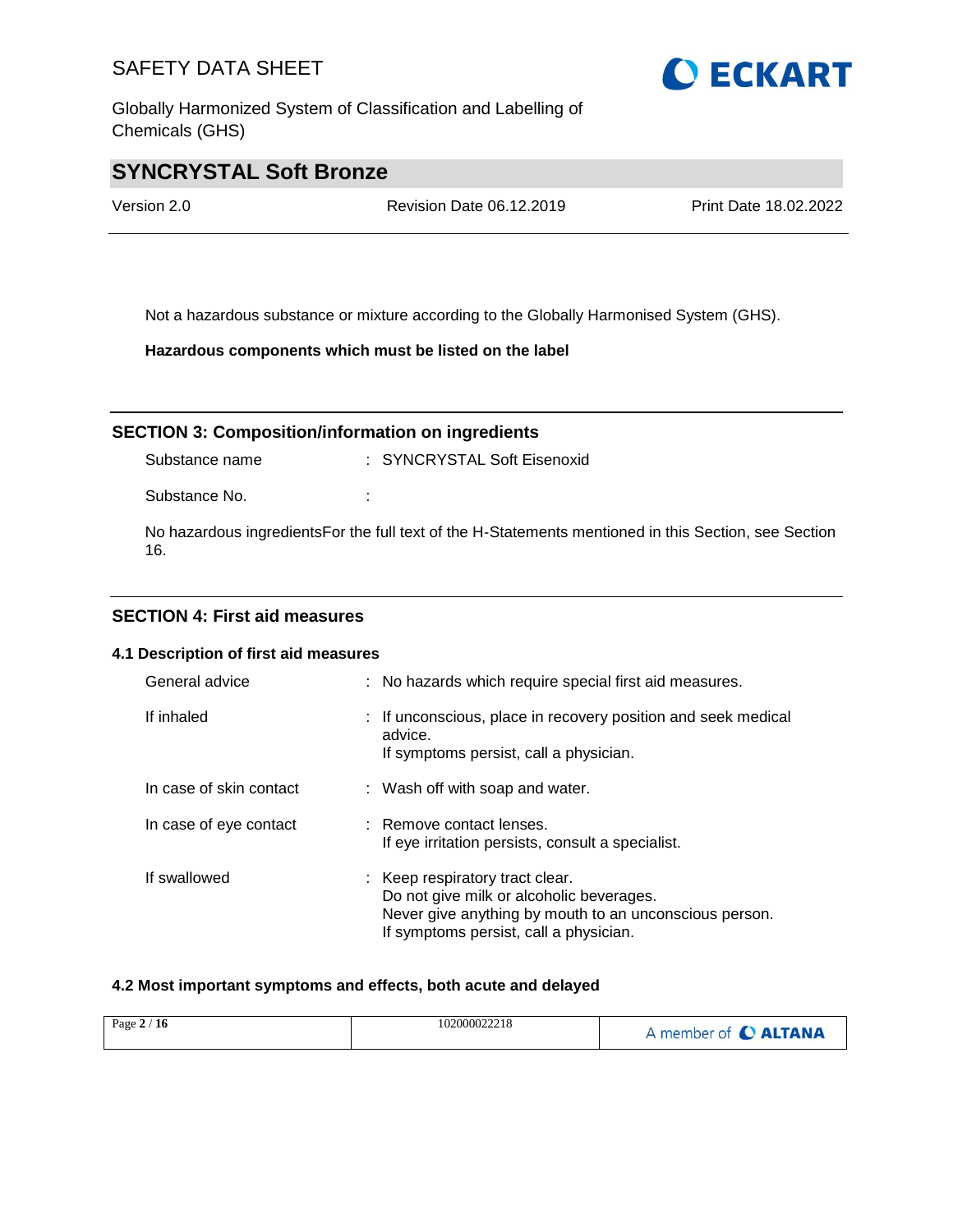Globally Harmonized System of Classification and Labelling of Chemicals (GHS)



# **SYNCRYSTAL Soft Bronze**

Version 2.0 Revision Date 06.12.2019 Print Date 18.02.2022

Not a hazardous substance or mixture according to the Globally Harmonised System (GHS).

**Hazardous components which must be listed on the label**

### **SECTION 3: Composition/information on ingredients**

Substance name : SYNCRYSTAL Soft Eisenoxid

Substance No. **:** :

No hazardous ingredientsFor the full text of the H-Statements mentioned in this Section, see Section 16.

## **SECTION 4: First aid measures**

#### **4.1 Description of first aid measures**

| General advice          | : No hazards which require special first aid measures.                                                                                                                          |
|-------------------------|---------------------------------------------------------------------------------------------------------------------------------------------------------------------------------|
| If inhaled              | : If unconscious, place in recovery position and seek medical<br>advice.<br>If symptoms persist, call a physician.                                                              |
| In case of skin contact | : Wash off with soap and water.                                                                                                                                                 |
| In case of eye contact  | : Remove contact lenses.<br>If eye irritation persists, consult a specialist.                                                                                                   |
| If swallowed            | : Keep respiratory tract clear.<br>Do not give milk or alcoholic beverages.<br>Never give anything by mouth to an unconscious person.<br>If symptoms persist, call a physician. |

#### **4.2 Most important symptoms and effects, both acute and delayed**

| Page $2/16$ | 102000022218 | A member of C ALTANA |
|-------------|--------------|----------------------|
|-------------|--------------|----------------------|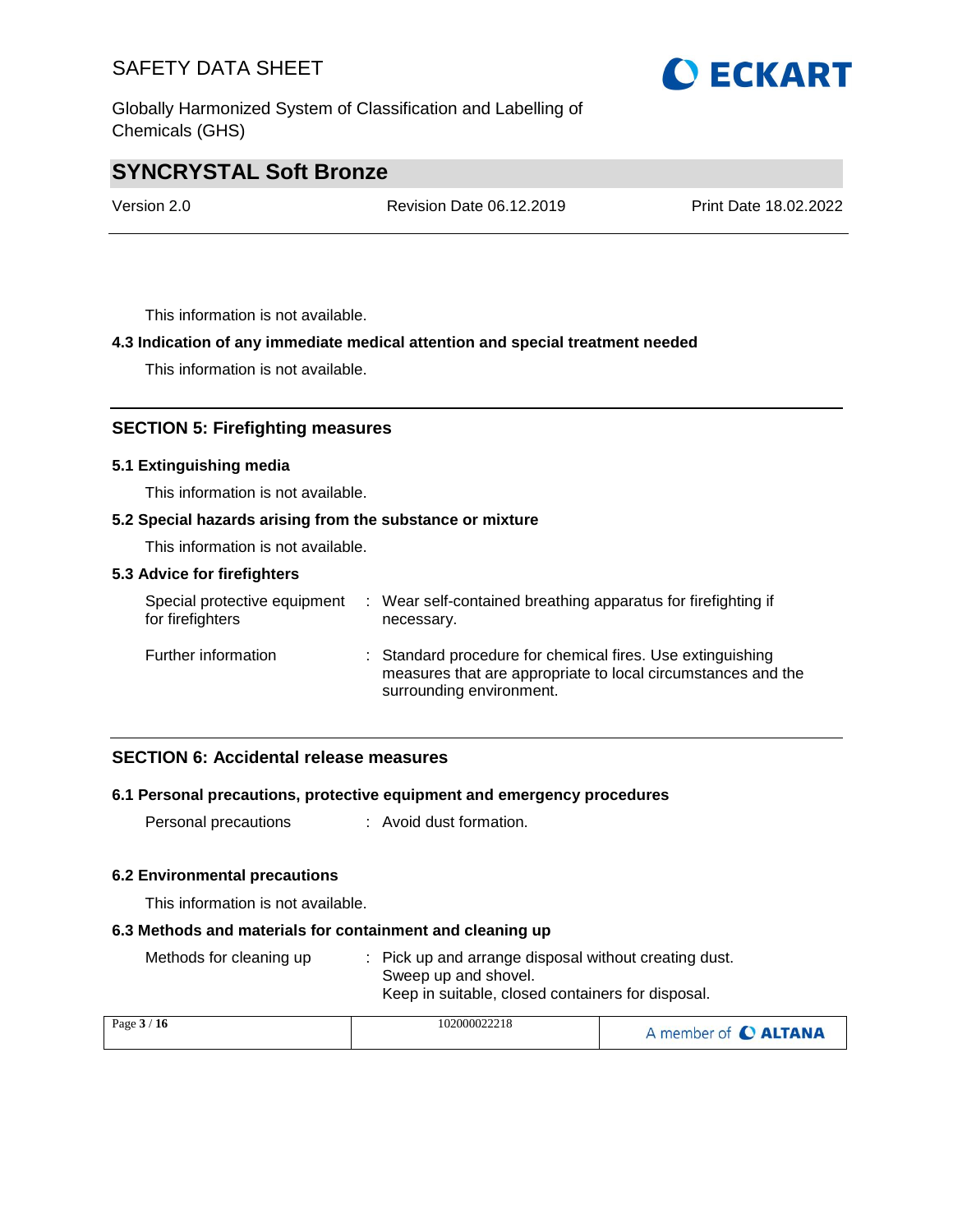Globally Harmonized System of Classification and Labelling of Chemicals (GHS)

# **O ECKART**

# **SYNCRYSTAL Soft Bronze**

Version 2.0 Revision Date 06.12.2019 Print Date 18.02.2022

This information is not available.

### **4.3 Indication of any immediate medical attention and special treatment needed**

This information is not available.

### **SECTION 5: Firefighting measures**

#### **5.1 Extinguishing media**

This information is not available.

#### **5.2 Special hazards arising from the substance or mixture**

This information is not available.

#### **5.3 Advice for firefighters**

| Special protective equipment<br>for firefighters | Wear self-contained breathing apparatus for firefighting if<br>necessary.                                                                              |
|--------------------------------------------------|--------------------------------------------------------------------------------------------------------------------------------------------------------|
| Further information                              | : Standard procedure for chemical fires. Use extinguishing<br>measures that are appropriate to local circumstances and the<br>surrounding environment. |

### **SECTION 6: Accidental release measures**

### **6.1 Personal precautions, protective equipment and emergency procedures**

Personal precautions : Avoid dust formation.

#### **6.2 Environmental precautions**

This information is not available.

#### **6.3 Methods and materials for containment and cleaning up**

| Methods for cleaning up | : Pick up and arrange disposal without creating dust. |
|-------------------------|-------------------------------------------------------|
|                         | Sweep up and shovel.                                  |
|                         | Keep in suitable, closed containers for disposal.     |

| Page $3/16$ | 102000022218 | A member of C ALTANA |
|-------------|--------------|----------------------|
|-------------|--------------|----------------------|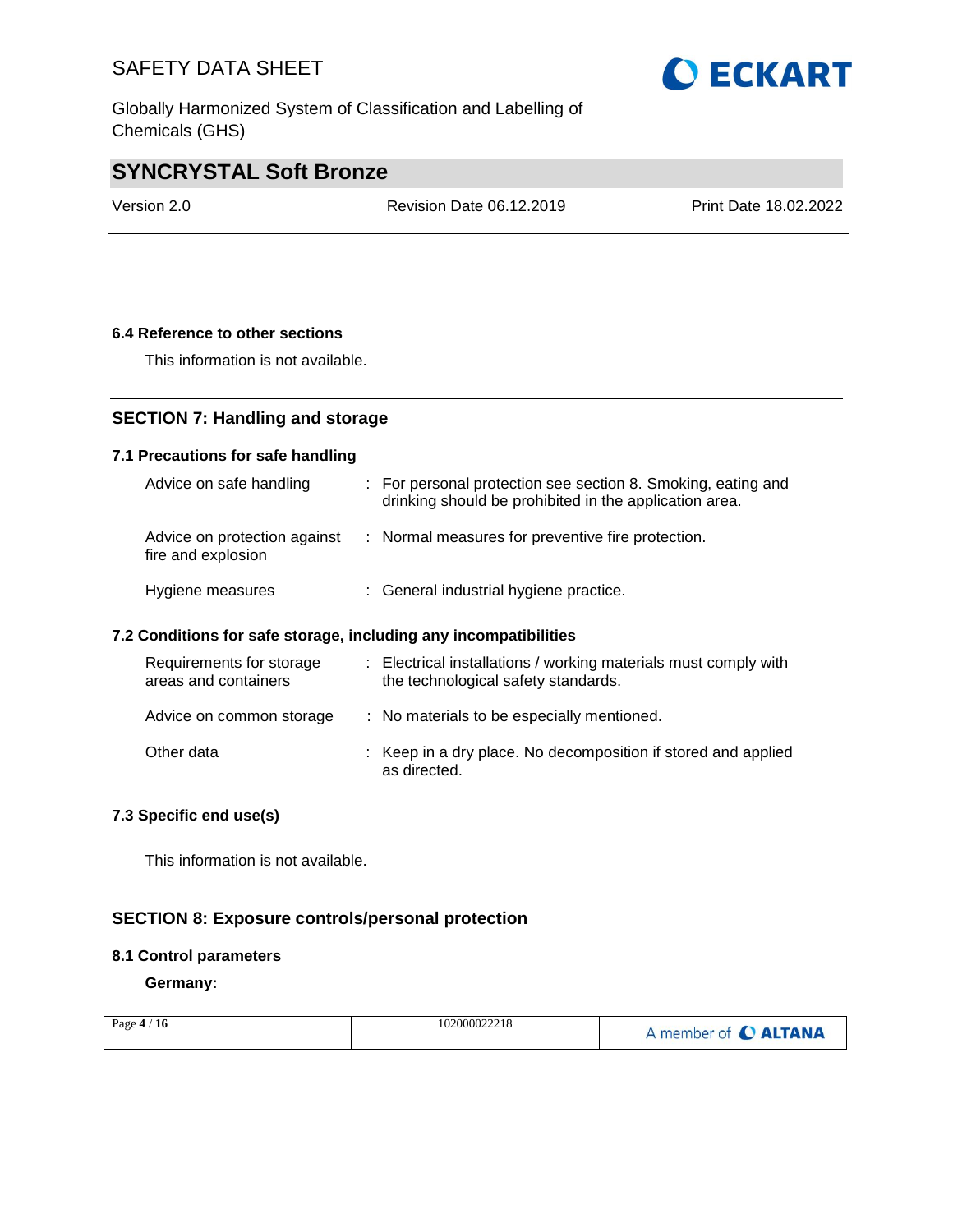Globally Harmonized System of Classification and Labelling of Chemicals (GHS)



# **SYNCRYSTAL Soft Bronze**

Version 2.0 Revision Date 06.12.2019 Print Date 18.02.2022

### **6.4 Reference to other sections**

This information is not available.

# **SECTION 7: Handling and storage**

### **7.1 Precautions for safe handling**

| Advice on safe handling                            | : For personal protection see section 8. Smoking, eating and<br>drinking should be prohibited in the application area. |
|----------------------------------------------------|------------------------------------------------------------------------------------------------------------------------|
| Advice on protection against<br>fire and explosion | : Normal measures for preventive fire protection.                                                                      |
| Hygiene measures                                   | : General industrial hygiene practice.                                                                                 |

#### **7.2 Conditions for safe storage, including any incompatibilities**

| Requirements for storage<br>areas and containers | : Electrical installations / working materials must comply with<br>the technological safety standards. |  |
|--------------------------------------------------|--------------------------------------------------------------------------------------------------------|--|
| Advice on common storage                         | : No materials to be especially mentioned.                                                             |  |
| Other data                                       | : Keep in a dry place. No decomposition if stored and applied<br>as directed.                          |  |

### **7.3 Specific end use(s)**

This information is not available.

# **SECTION 8: Exposure controls/personal protection**

#### **8.1 Control parameters**

**Germany:**

| Page $4/16$ | 102000022218 | A member of C ALTANA |
|-------------|--------------|----------------------|
|-------------|--------------|----------------------|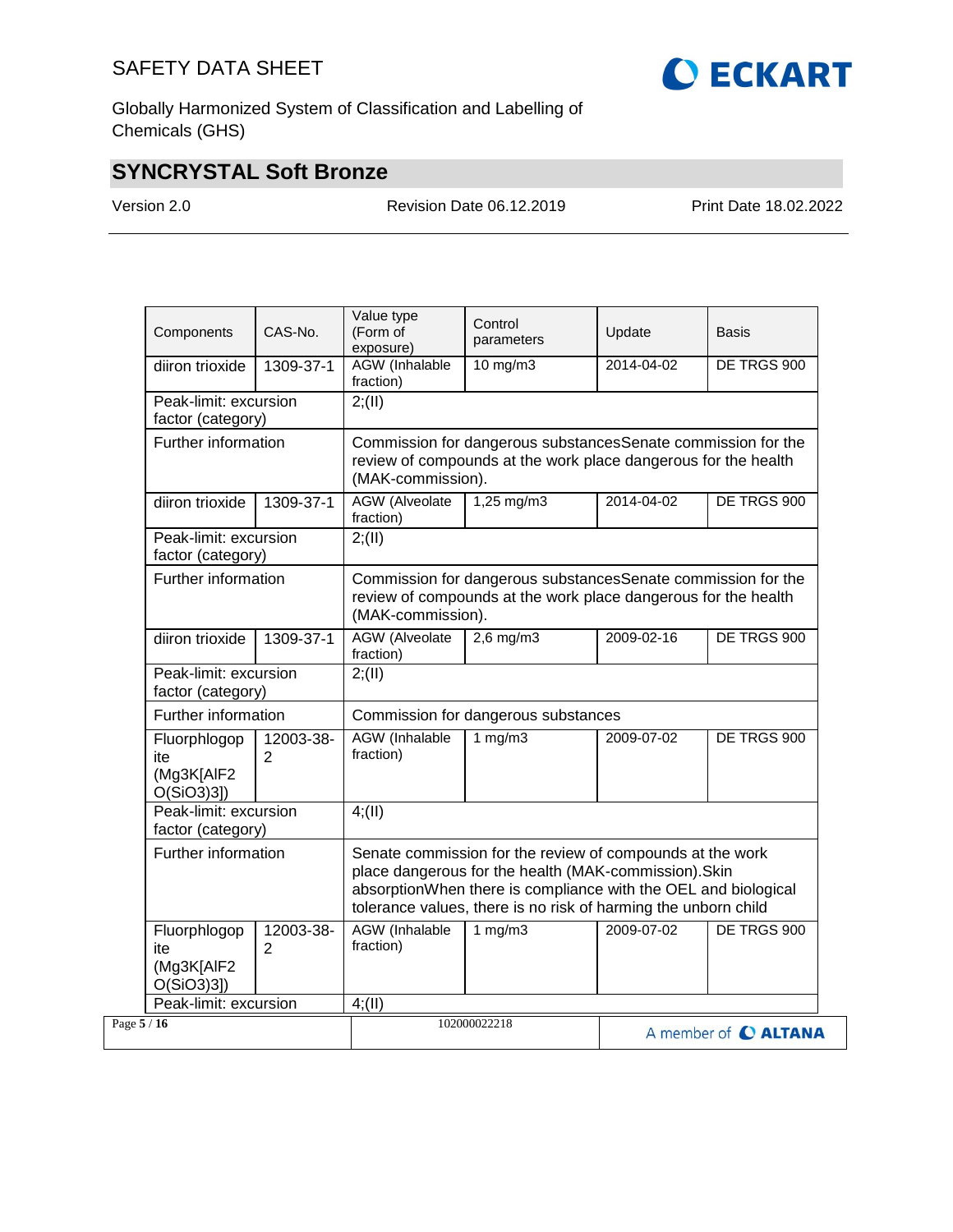

Globally Harmonized System of Classification and Labelling of Chemicals (GHS)

# **SYNCRYSTAL Soft Bronze**

Version 2.0 Revision Date 06.12.2019 Print Date 18.02.2022

| Components                                     | CAS-No.                                    | Value type<br>(Form of<br>exposure)                                                                                                                 | Control<br>parameters                                                                                                                                                                                                                                  | Update     | Basis       |
|------------------------------------------------|--------------------------------------------|-----------------------------------------------------------------------------------------------------------------------------------------------------|--------------------------------------------------------------------------------------------------------------------------------------------------------------------------------------------------------------------------------------------------------|------------|-------------|
| diiron trioxide                                | 1309-37-1                                  | AGW (Inhalable<br>fraction)                                                                                                                         | 10 mg/m3                                                                                                                                                                                                                                               | 2014-04-02 | DE TRGS 900 |
| Peak-limit: excursion<br>factor (category)     |                                            | 2; (II)                                                                                                                                             |                                                                                                                                                                                                                                                        |            |             |
| Further information                            |                                            | Commission for dangerous substancesSenate commission for the<br>review of compounds at the work place dangerous for the health<br>(MAK-commission). |                                                                                                                                                                                                                                                        |            |             |
| diiron trioxide                                | 1309-37-1                                  | <b>AGW</b> (Alveolate<br>fraction)                                                                                                                  | $1,25$ mg/m3                                                                                                                                                                                                                                           | 2014-04-02 | DE TRGS 900 |
| Peak-limit: excursion<br>factor (category)     |                                            | 2; (II)                                                                                                                                             |                                                                                                                                                                                                                                                        |            |             |
| Further information                            |                                            | (MAK-commission).                                                                                                                                   | Commission for dangerous substances Senate commission for the<br>review of compounds at the work place dangerous for the health                                                                                                                        |            |             |
| diiron trioxide                                | 1309-37-1                                  | <b>AGW</b> (Alveolate<br>fraction)                                                                                                                  | $2,6$ mg/m $3$                                                                                                                                                                                                                                         | 2009-02-16 | DE TRGS 900 |
|                                                | Peak-limit: excursion<br>factor (category) |                                                                                                                                                     |                                                                                                                                                                                                                                                        |            |             |
| Further information                            |                                            | Commission for dangerous substances                                                                                                                 |                                                                                                                                                                                                                                                        |            |             |
| Fluorphlogop<br>ite<br>(Mg3K[AlF2<br>O(SiO3)3] | 12003-38-<br>$\overline{2}$                | <b>AGW</b> (Inhalable<br>fraction)                                                                                                                  | 1 mg/m3                                                                                                                                                                                                                                                | 2009-07-02 | DE TRGS 900 |
| Peak-limit: excursion<br>factor (category)     |                                            | 4(11)                                                                                                                                               |                                                                                                                                                                                                                                                        |            |             |
|                                                | Further information                        |                                                                                                                                                     | Senate commission for the review of compounds at the work<br>place dangerous for the health (MAK-commission). Skin<br>absorptionWhen there is compliance with the OEL and biological<br>tolerance values, there is no risk of harming the unborn child |            |             |
| Fluorphlogop<br>ite<br>(Mg3K[AlF2<br>O(SiO3)3] | 12003-38-<br>$\overline{2}$                | AGW (Inhalable<br>fraction)                                                                                                                         | 1 $mg/m3$                                                                                                                                                                                                                                              | 2009-07-02 | DE TRGS 900 |
| Peak-limit: excursion                          |                                            | 4(11)                                                                                                                                               |                                                                                                                                                                                                                                                        |            |             |
| Page 5 / 16                                    |                                            |                                                                                                                                                     | 102000022218<br>A member of C ALTANA                                                                                                                                                                                                                   |            |             |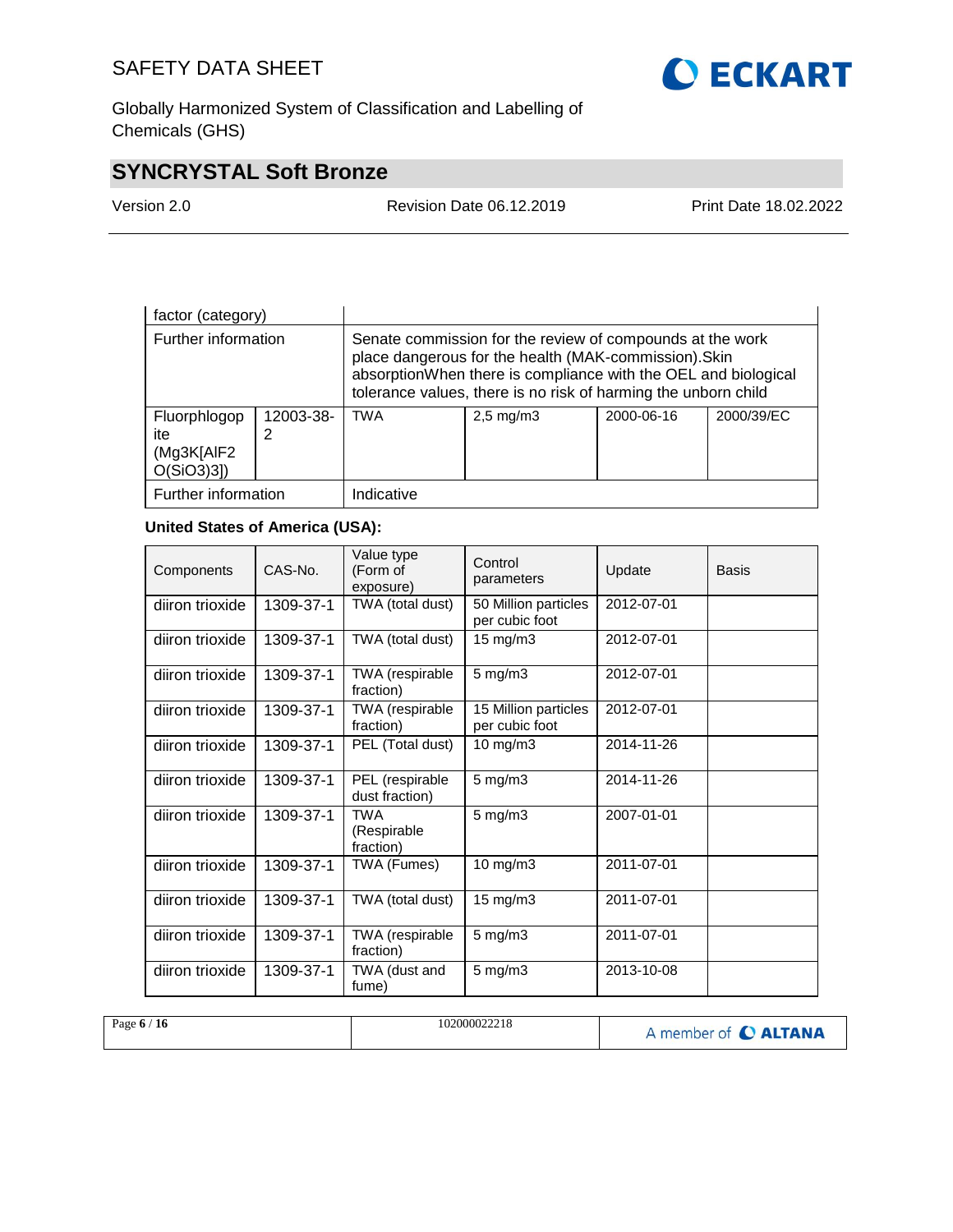**O ECKART** 

Globally Harmonized System of Classification and Labelling of Chemicals (GHS)

# **SYNCRYSTAL Soft Bronze**

| Version 2.0 |
|-------------|
|-------------|

Revision Date 06.12.2019 Print Date 18.02.2022

| factor (category)                                 |           |                                                                                                                                                                                                                                                        |  |  |  |
|---------------------------------------------------|-----------|--------------------------------------------------------------------------------------------------------------------------------------------------------------------------------------------------------------------------------------------------------|--|--|--|
| Further information                               |           | Senate commission for the review of compounds at the work<br>place dangerous for the health (MAK-commission). Skin<br>absorptionWhen there is compliance with the OEL and biological<br>tolerance values, there is no risk of harming the unborn child |  |  |  |
| Fluorphlogop<br>ite<br>(Mg3K[AlF2<br>$O(SiO3)3$ ] | 12003-38- | <b>TWA</b><br>2000/39/EC<br>2000-06-16<br>$2,5 \text{ mg/m}$                                                                                                                                                                                           |  |  |  |
| Further information                               |           | Indicative                                                                                                                                                                                                                                             |  |  |  |

### **United States of America (USA):**

| Components      | CAS-No.   | Value type<br>(Form of<br>exposure)    | Control<br>parameters                  | Update     | Basis |
|-----------------|-----------|----------------------------------------|----------------------------------------|------------|-------|
| diiron trioxide | 1309-37-1 | TWA (total dust)                       | 50 Million particles<br>per cubic foot | 2012-07-01 |       |
| diiron trioxide | 1309-37-1 | TWA (total dust)                       | $15 \text{ mg/m}$                      | 2012-07-01 |       |
| diiron trioxide | 1309-37-1 | TWA (respirable<br>fraction)           | $5 \text{ mg/m}$ 3                     | 2012-07-01 |       |
| diiron trioxide | 1309-37-1 | TWA (respirable<br>fraction)           | 15 Million particles<br>per cubic foot | 2012-07-01 |       |
| diiron trioxide | 1309-37-1 | PEL (Total dust)                       | 10 mg/m $3$                            | 2014-11-26 |       |
| diiron trioxide | 1309-37-1 | PEL (respirable<br>dust fraction)      | $5 \text{ mg/m}$ 3                     | 2014-11-26 |       |
| diiron trioxide | 1309-37-1 | <b>TWA</b><br>(Respirable<br>fraction) | $5$ mg/m $3$                           | 2007-01-01 |       |
| diiron trioxide | 1309-37-1 | TWA (Fumes)                            | 10 mg/m3                               | 2011-07-01 |       |
| diiron trioxide | 1309-37-1 | TWA (total dust)                       | $15 \text{ mg/m}$                      | 2011-07-01 |       |
| diiron trioxide | 1309-37-1 | TWA (respirable<br>fraction)           | $5$ mg/m $3$                           | 2011-07-01 |       |
| diiron trioxide | 1309-37-1 | TWA (dust and<br>fume)                 | $5 \text{ mg/m}$                       | 2013-10-08 |       |

| Page $6/$<br><b>16</b> | 102000022218 | A member of <b>C ALTANA</b> |
|------------------------|--------------|-----------------------------|
|------------------------|--------------|-----------------------------|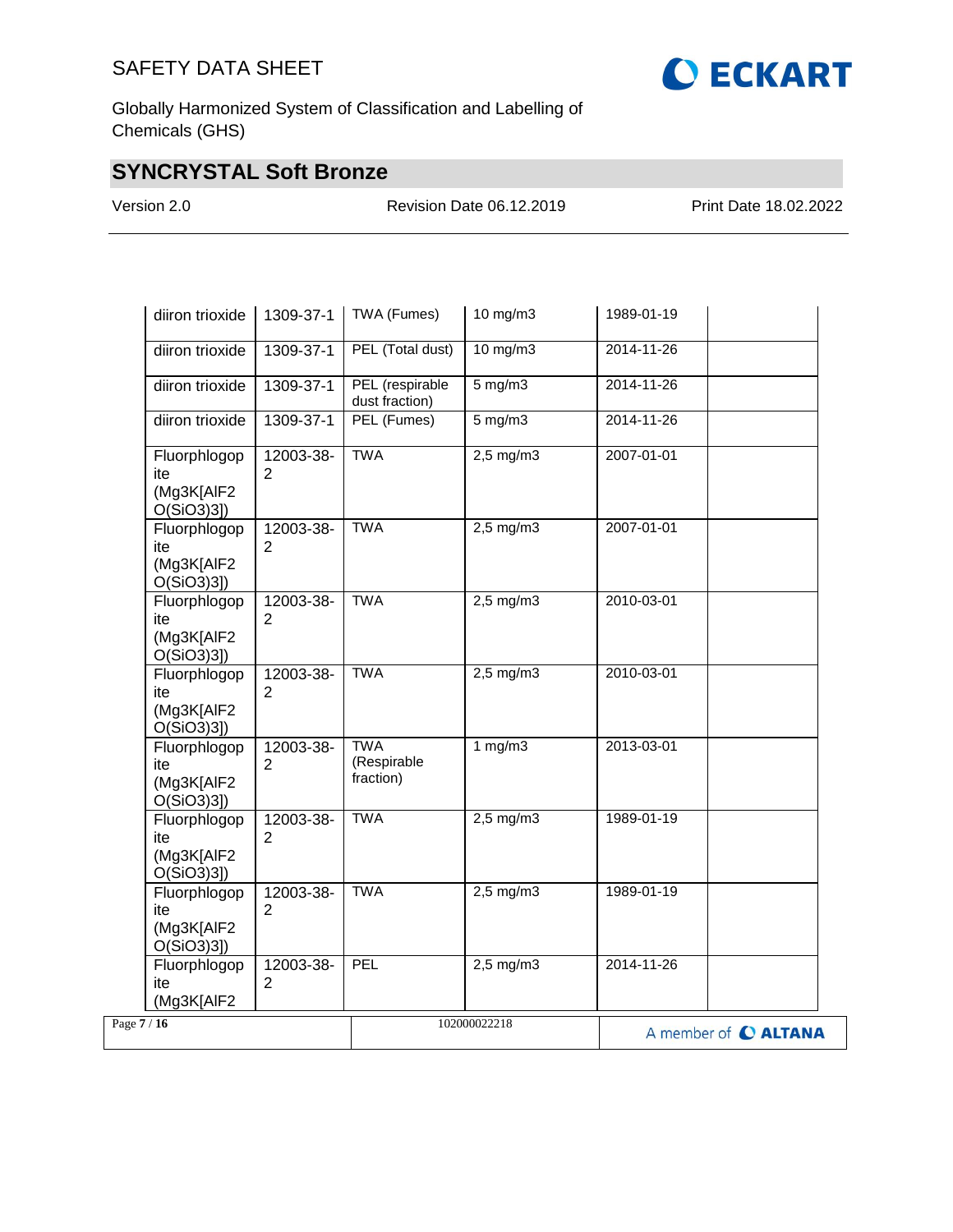

# **SYNCRYSTAL Soft Bronze**

Version 2.0 Revision Date 06.12.2019 Print Date 18.02.2022

| diiron trioxide<br>1309-37-1                                                      | TWA (Fumes)                            | 10 mg/m3                                 | 1989-01-19 |                      |
|-----------------------------------------------------------------------------------|----------------------------------------|------------------------------------------|------------|----------------------|
| diiron trioxide<br>1309-37-1                                                      | PEL (Total dust)                       | $10$ mg/m $3$                            | 2014-11-26 |                      |
| diiron trioxide<br>1309-37-1                                                      | PEL (respirable<br>dust fraction)      | $5 \text{ mg/m}$                         | 2014-11-26 |                      |
| diiron trioxide<br>1309-37-1                                                      | PEL (Fumes)                            | $5$ mg/m $3$                             | 2014-11-26 |                      |
| Fluorphlogop<br>12003-38-<br>ite<br>$\overline{2}$<br>(Mg3K[AIF2<br>$O(SiO3)3$ ]  | <b>TWA</b>                             | $2,5$ mg/m $3$                           | 2007-01-01 |                      |
| Fluorphlogop<br>12003-38-<br>$\overline{2}$<br>ite<br>(Mg3K[AIF2<br>O(SiO3)3]     | <b>TWA</b>                             | $2,5$ mg/m $3$                           | 2007-01-01 |                      |
| Fluorphlogop<br>12003-38-<br>2<br>ite<br>(Mg3K[AIF2<br>O(SiO3)3]                  | <b>TWA</b>                             | $2,5$ mg/m $3$                           | 2010-03-01 |                      |
| 12003-38-<br>Fluorphlogop<br>ite<br>2<br>(Mg3K[AIF2<br>$O(SiO3)3$ ])              | <b>TWA</b>                             | $2,5$ mg/m $3$                           | 2010-03-01 |                      |
| 12003-38-<br>Fluorphlogop<br>ite<br>$\overline{2}$<br>(Mg3K[AlF2<br>$O(SiO3)3$ ]) | <b>TWA</b><br>(Respirable<br>fraction) | 1 $mg/m3$                                | 2013-03-01 |                      |
| Fluorphlogop<br>12003-38-<br>$\overline{2}$<br>ite<br>(Mg3K[AlF2<br>O(SiO3)3]     | <b>TWA</b>                             | $2,5 \overline{\mathrm{mg}}/\mathrm{m}3$ | 1989-01-19 |                      |
| Fluorphlogop<br>12003-38-<br>$\overline{2}$<br>ite<br>(Mg3K[AIF2<br>$O(SiO3)3$ ]  | <b>TWA</b>                             | $2,5 \overline{\mathrm{mg}}/\mathrm{m}3$ | 1989-01-19 |                      |
| Fluorphlogop<br>12003-38-<br>$\overline{2}$<br>ite<br>(Mg3K[AIF2                  | PEL                                    | $2,5$ mg/m $3$                           | 2014-11-26 |                      |
| Page $7/16$                                                                       |                                        | 102000022218                             |            | A member of C ALTANA |

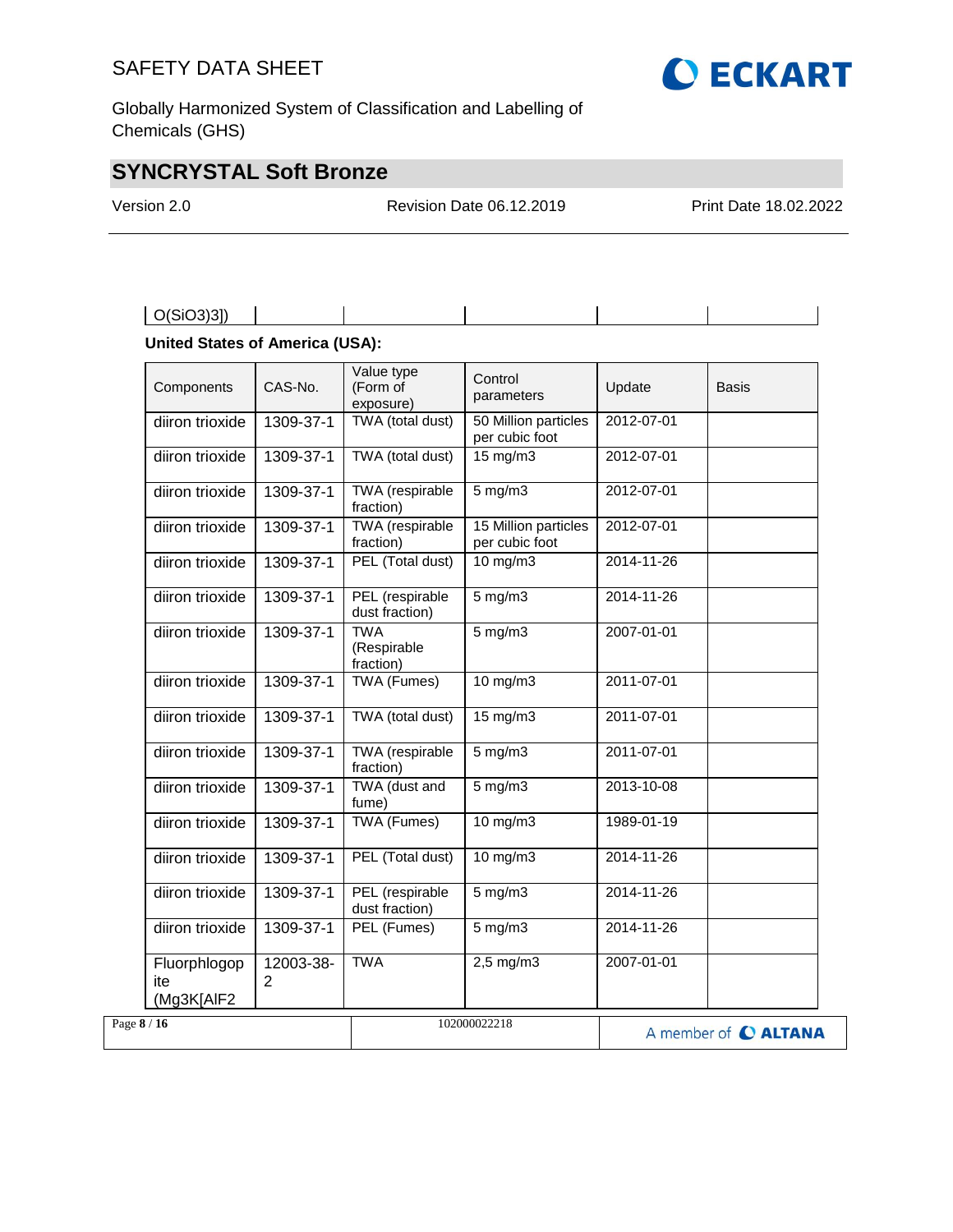

# **SYNCRYSTAL Soft Bronze**

Version 2.0 Revision Date 06.12.2019 Print Date 18.02.2022

| $\big $ O(SiO3)31) |
|--------------------|
|--------------------|

### **United States of America (USA):**

| Components                        | CAS-No.                     | Value type<br>(Form of<br>exposure)    | Control<br>parameters                  | Update           | Basis                |
|-----------------------------------|-----------------------------|----------------------------------------|----------------------------------------|------------------|----------------------|
| diiron trioxide                   | 1309-37-1                   | TWA (total dust)                       | 50 Million particles<br>per cubic foot | 2012-07-01       |                      |
| diiron trioxide                   | 1309-37-1                   | TWA (total dust)                       | $15 \text{ mg/m}$                      | 2012-07-01       |                      |
| diiron trioxide                   | 1309-37-1                   | <b>TWA</b> (respirable<br>fraction)    | $5 \text{ mg/m}$                       | 2012-07-01       |                      |
| diiron trioxide                   | 1309-37-1                   | <b>TWA</b> (respirable<br>fraction)    | 15 Million particles<br>per cubic foot | 2012-07-01       |                      |
| diiron trioxide                   | 1309-37-1                   | PEL (Total dust)                       | $10$ mg/m $3$                          | 2014-11-26       |                      |
| diiron trioxide                   | 1309-37-1                   | PEL (respirable<br>dust fraction)      | $5$ mg/m $3$                           | 2014-11-26       |                      |
| diiron trioxide                   | 1309-37-1                   | <b>TWA</b><br>(Respirable<br>fraction) | $5$ mg/m $3$                           | 2007-01-01       |                      |
| diiron trioxide                   | 1309-37-1                   | <b>TWA (Fumes)</b>                     | $10 \text{ mg/m}$                      | 2011-07-01       |                      |
| diiron trioxide                   | 1309-37-1                   | TWA (total dust)                       | $15 \text{ mg/m}$                      | 2011-07-01       |                      |
| diiron trioxide                   | 1309-37-1                   | TWA (respirable<br>fraction)           | $5$ mg/m $3$                           | 2011-07-01       |                      |
| diiron trioxide                   | 1309-37-1                   | TWA (dust and<br>fume)                 | $5$ mg/m $3$                           | 2013-10-08       |                      |
| diiron trioxide                   | 1309-37-1                   | <b>TWA (Fumes)</b>                     | $10$ mg/m $3$                          | 1989-01-19       |                      |
| diiron trioxide                   | 1309-37-1                   | PEL (Total dust)                       | 10 mg/m3                               | 2014-11-26       |                      |
| diiron trioxide                   | 1309-37-1                   | PEL (respirable<br>dust fraction)      | $5$ mg/m $3$                           | $2014 - 11 - 26$ |                      |
| diiron trioxide                   | 1309-37-1                   | PEL (Fumes)                            | $5$ mg/m $3$                           | 2014-11-26       |                      |
| Fluorphlogop<br>ite<br>(Mg3K[AlF2 | 12003-38-<br>$\overline{2}$ | <b>TWA</b>                             | $2,5$ mg/m $3$                         | 2007-01-01       |                      |
| Page 8 / 16                       |                             |                                        | 102000022218                           |                  | A member of C ALTANA |

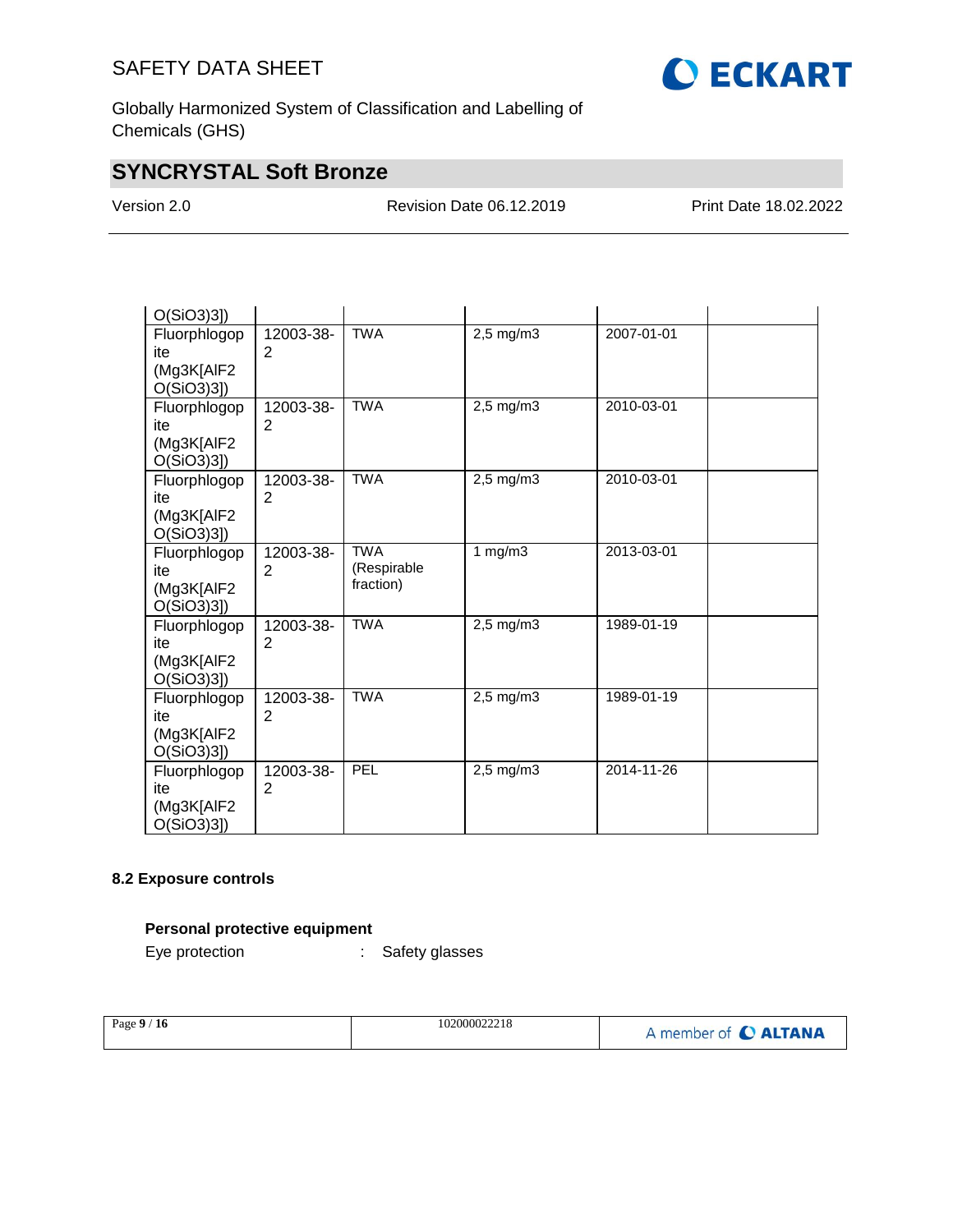

Globally Harmonized System of Classification and Labelling of Chemicals (GHS)

# **SYNCRYSTAL Soft Bronze**

Version 2.0 Revision Date 06.12.2019 Print Date 18.02.2022

| $O(SiO3)3$ ]                                      |                             |                                        |                |            |
|---------------------------------------------------|-----------------------------|----------------------------------------|----------------|------------|
| Fluorphlogop<br>ite<br>(Mg3K[AlF2<br>$O(SiO3)3$ ] | 12003-38-<br>2              | <b>TWA</b>                             | 2,5 mg/m3      | 2007-01-01 |
| Fluorphlogop<br>ite<br>(Mg3K[AlF2<br>$O(SiO3)3$ ] | 12003-38-<br>2              | <b>TWA</b>                             | 2,5 mg/m3      | 2010-03-01 |
| Fluorphlogop<br>ite<br>(Mg3K[AIF2<br>$O(SiO3)3$ ] | 12003-38-<br>$\overline{2}$ | <b>TWA</b>                             | $2,5$ mg/m $3$ | 2010-03-01 |
| Fluorphlogop<br>ite<br>(Mg3K[AlF2<br>$O(SiO3)3$ ] | 12003-38-<br>2              | <b>TWA</b><br>(Respirable<br>fraction) | 1 $mg/m3$      | 2013-03-01 |
| Fluorphlogop<br>ite<br>(Mg3K[AlF2<br>$O(SiO3)3$ ] | 12003-38-<br>$\overline{2}$ | <b>TWA</b>                             | 2,5 mg/m3      | 1989-01-19 |
| Fluorphlogop<br>ite<br>(Mg3K[AlF2<br>$O(SiO3)3$ ] | 12003-38-<br>$\overline{2}$ | <b>TWA</b>                             | $2,5$ mg/m $3$ | 1989-01-19 |
| Fluorphlogop<br>ite<br>(Mg3K[AIF2<br>$O(SiO3)3$ ] | 12003-38-<br>2              | PEL                                    | $2,5$ mg/m $3$ | 2014-11-26 |

### **8.2 Exposure controls**

# **Personal protective equipment**

Eye protection : Safety glasses

| Page $9/16$ | 102000022218 | A member of C ALTANA |
|-------------|--------------|----------------------|
|             |              |                      |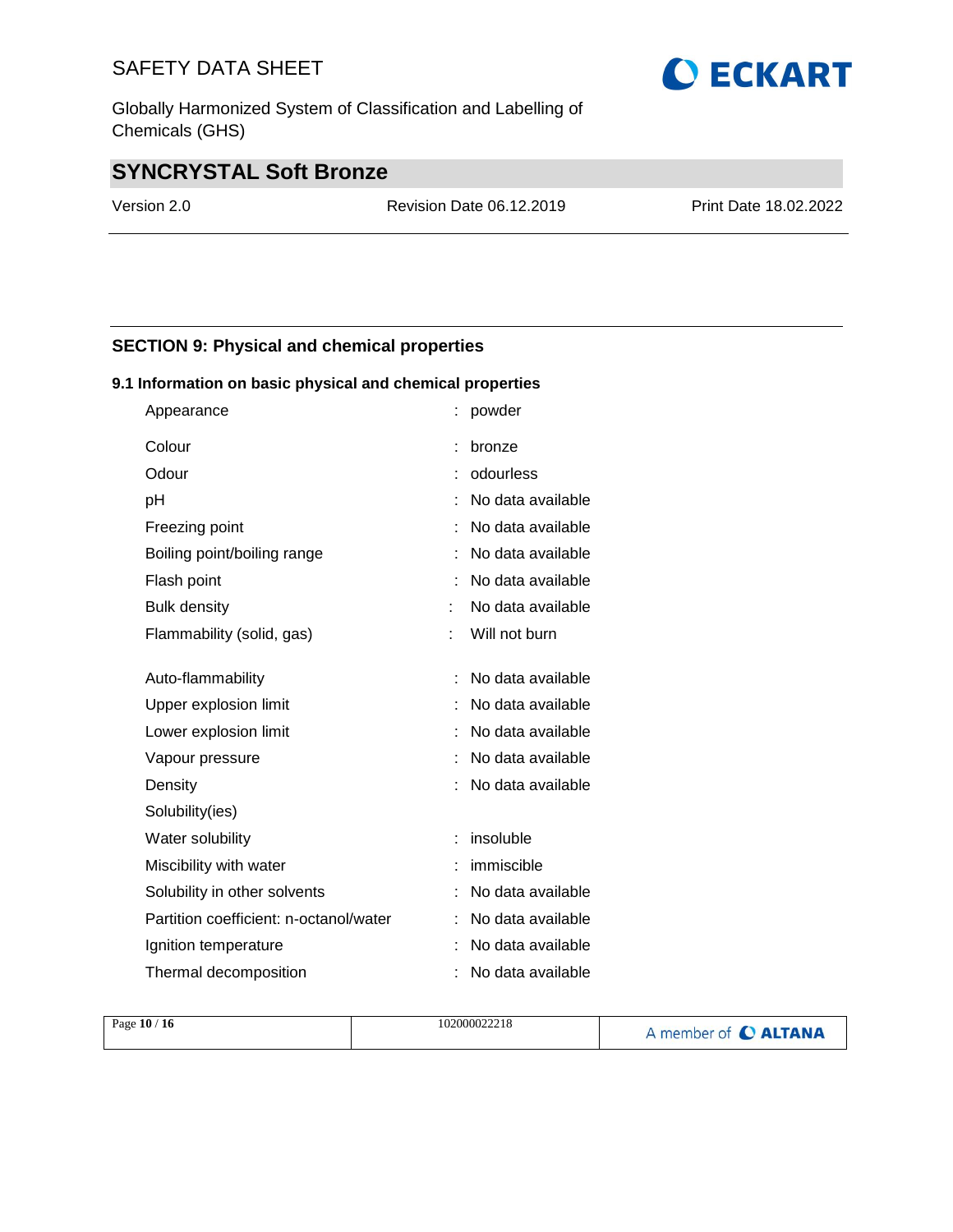Globally Harmonized System of Classification and Labelling of Chemicals (GHS)

# **O ECKART**

# **SYNCRYSTAL Soft Bronze**

Version 2.0 Revision Date 06.12.2019 Print Date 18.02.2022

# **SECTION 9: Physical and chemical properties**

### **9.1 Information on basic physical and chemical properties**

| Appearance                             | powder            |
|----------------------------------------|-------------------|
| Colour                                 | bronze            |
| Odour                                  | odourless         |
| рH                                     | No data available |
| Freezing point                         | No data available |
| Boiling point/boiling range            | No data available |
| Flash point                            | No data available |
| <b>Bulk density</b>                    | No data available |
| Flammability (solid, gas)              | Will not burn     |
| Auto-flammability                      | No data available |
| Upper explosion limit                  | No data available |
| Lower explosion limit                  | No data available |
| Vapour pressure                        | No data available |
| Density                                | No data available |
| Solubility(ies)                        |                   |
| Water solubility                       | insoluble         |
| Miscibility with water                 | immiscible        |
| Solubility in other solvents           | No data available |
| Partition coefficient: n-octanol/water | No data available |
| Ignition temperature                   | No data available |
| Thermal decomposition                  | No data available |

| Page $10/16$ | 102000022218 | A member of C ALTANA |
|--------------|--------------|----------------------|
|              |              |                      |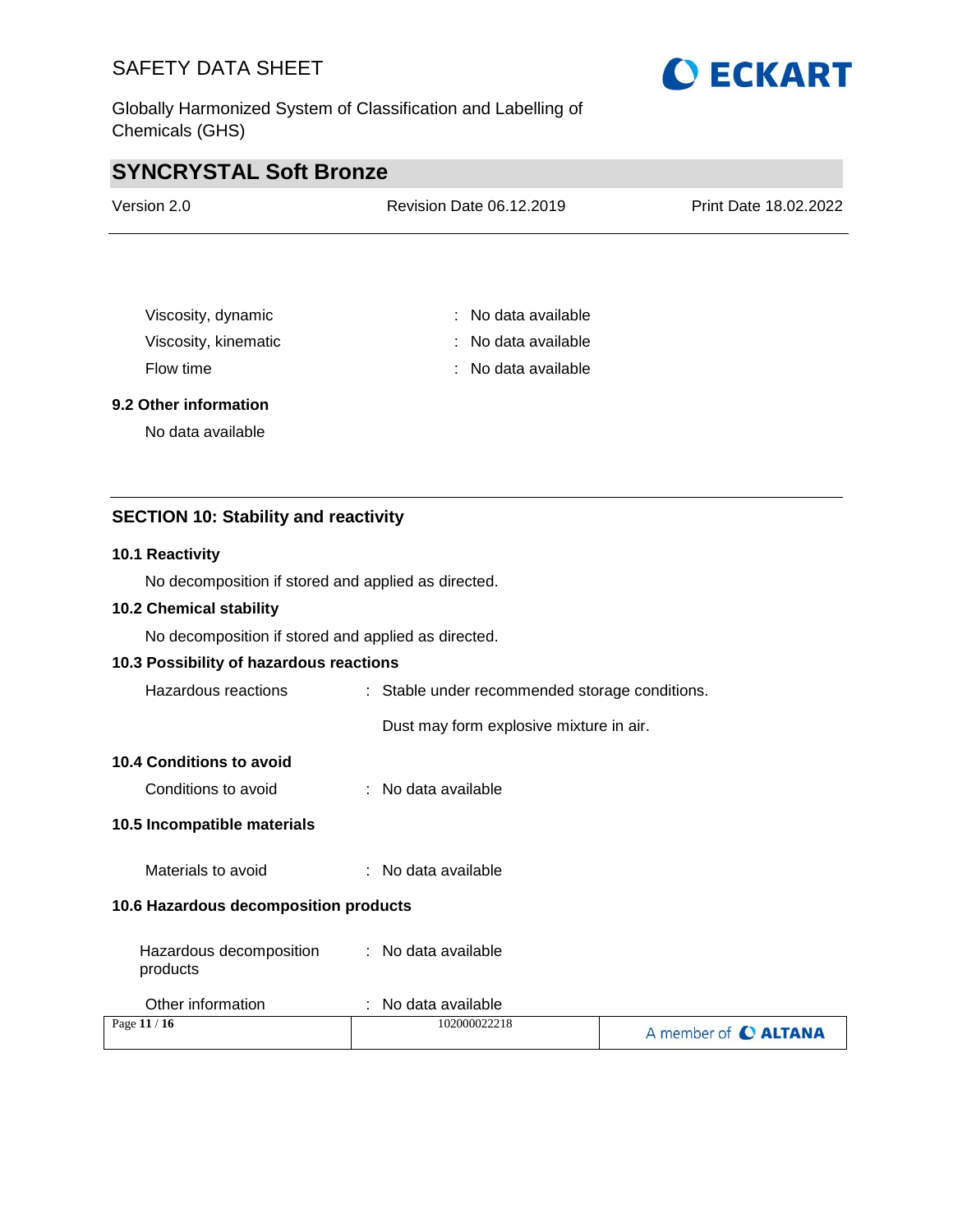Globally Harmonized System of Classification and Labelling of Chemicals (GHS)



# **SYNCRYSTAL Soft Bronze**

| Version 2.0 | <b>Revision Date 06.12.2019</b> | Print Date 18.02.2022 |
|-------------|---------------------------------|-----------------------|
|             |                                 |                       |

| Viscosity, dynamic   | : No data available   |
|----------------------|-----------------------|
| Viscosity, kinematic | $:$ No data available |
| Flow time            | : No data available   |

### **9.2 Other information**

No data available

# **SECTION 10: Stability and reactivity**

#### **10.1 Reactivity**

No decomposition if stored and applied as directed.

### **10.2 Chemical stability**

No decomposition if stored and applied as directed.

### **10.3 Possibility of hazardous reactions**

| Hazardous reactions     | : Stable under recommended storage conditions. |
|-------------------------|------------------------------------------------|
|                         | Dust may form explosive mixture in air.        |
| n 1 Conditions to avoid |                                                |

### **10.4 Conditions to avoid**

#### **10.5 Incompatible materials**

Materials to avoid : No data available

#### **10.6 Hazardous decomposition products**

| Hazardous decomposition | : No data available |
|-------------------------|---------------------|
| products                |                     |

| Other information | No data available |                      |
|-------------------|-------------------|----------------------|
| Page 11 / 16      | 102000022218      | A member of C ALTANA |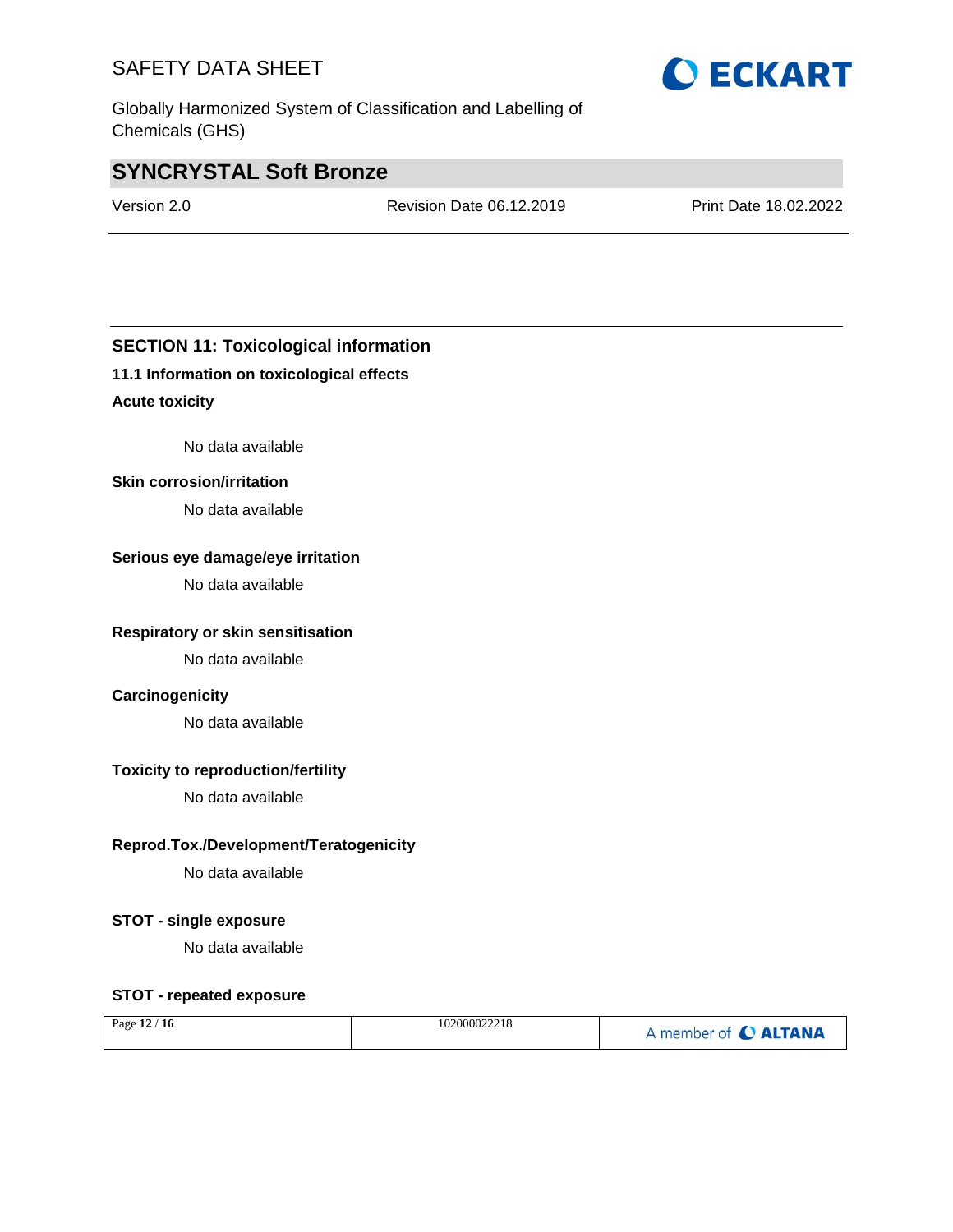Globally Harmonized System of Classification and Labelling of Chemicals (GHS)

# **SYNCRYSTAL Soft Bronze**

Version 2.0 Revision Date 06.12.2019 Print Date 18.02.2022

# **SECTION 11: Toxicological information**

### **11.1 Information on toxicological effects**

### **Acute toxicity**

No data available

#### **Skin corrosion/irritation**

No data available

### **Serious eye damage/eye irritation**

No data available

### **Respiratory or skin sensitisation**

No data available

### **Carcinogenicity**

No data available

## **Toxicity to reproduction/fertility**

No data available

### **Reprod.Tox./Development/Teratogenicity**

No data available

### **STOT - single exposure**

No data available

### **STOT - repeated exposure**

| Page $12/16$ | 102000022218 | A member of C ALTANA |
|--------------|--------------|----------------------|
|--------------|--------------|----------------------|

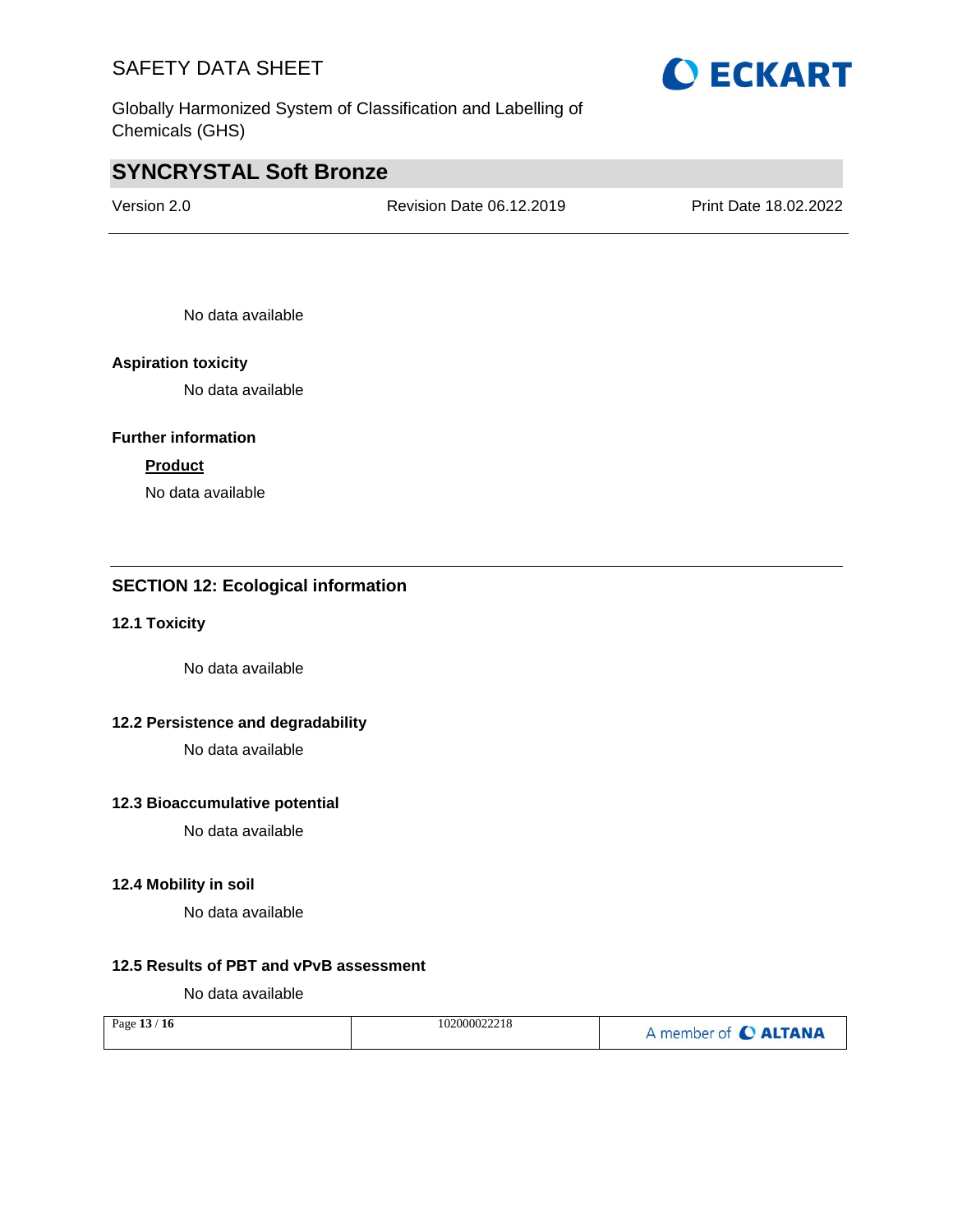Globally Harmonized System of Classification and Labelling of Chemicals (GHS)

# **SYNCRYSTAL Soft Bronze**

Version 2.0 Revision Date 06.12.2019 Print Date 18.02.2022

No data available

### **Aspiration toxicity**

No data available

## **Further information**

### **Product**

No data available

## **SECTION 12: Ecological information**

#### **12.1 Toxicity**

No data available

### **12.2 Persistence and degradability**

No data available

### **12.3 Bioaccumulative potential**

No data available

#### **12.4 Mobility in soil**

No data available

### **12.5 Results of PBT and vPvB assessment**

No data available

| Page 13 / 16 | 102000022218 | A member of C ALTANA |
|--------------|--------------|----------------------|
|--------------|--------------|----------------------|

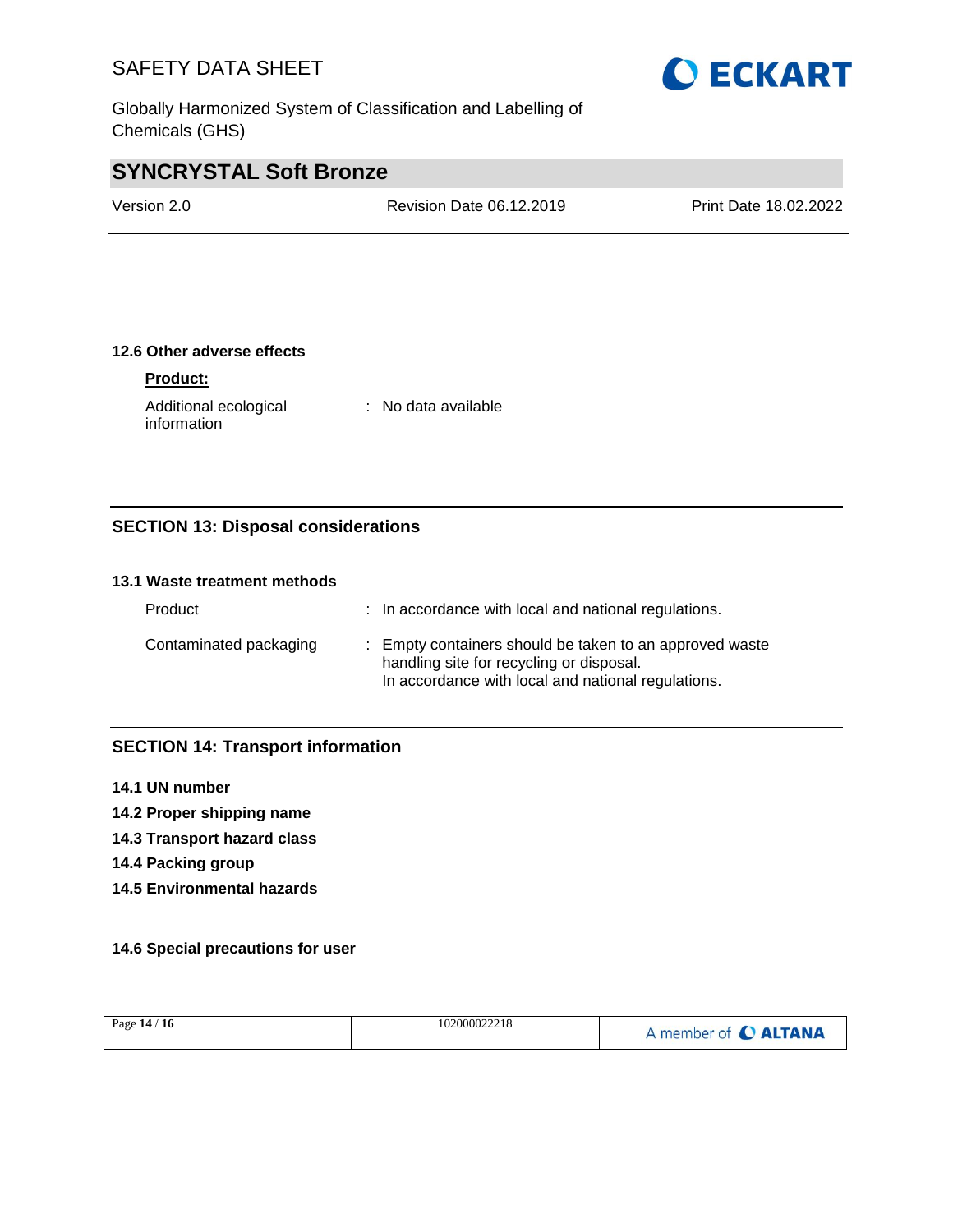Globally Harmonized System of Classification and Labelling of Chemicals (GHS)



# **SYNCRYSTAL Soft Bronze**

Version 2.0 Revision Date 06.12.2019 Print Date 18.02.2022

### **12.6 Other adverse effects**

### **Product:**

Additional ecological information : No data available

# **SECTION 13: Disposal considerations**

### **13.1 Waste treatment methods**

| Product                | : In accordance with local and national regulations.                                                                                                      |
|------------------------|-----------------------------------------------------------------------------------------------------------------------------------------------------------|
| Contaminated packaging | : Empty containers should be taken to an approved waste<br>handling site for recycling or disposal.<br>In accordance with local and national regulations. |

### **SECTION 14: Transport information**

- **14.1 UN number**
- **14.2 Proper shipping name**
- **14.3 Transport hazard class**
- **14.4 Packing group**
- **14.5 Environmental hazards**

### **14.6 Special precautions for user**

| Page 14 / 16 | 102000022218 | A member of C ALTANA |
|--------------|--------------|----------------------|
|              |              |                      |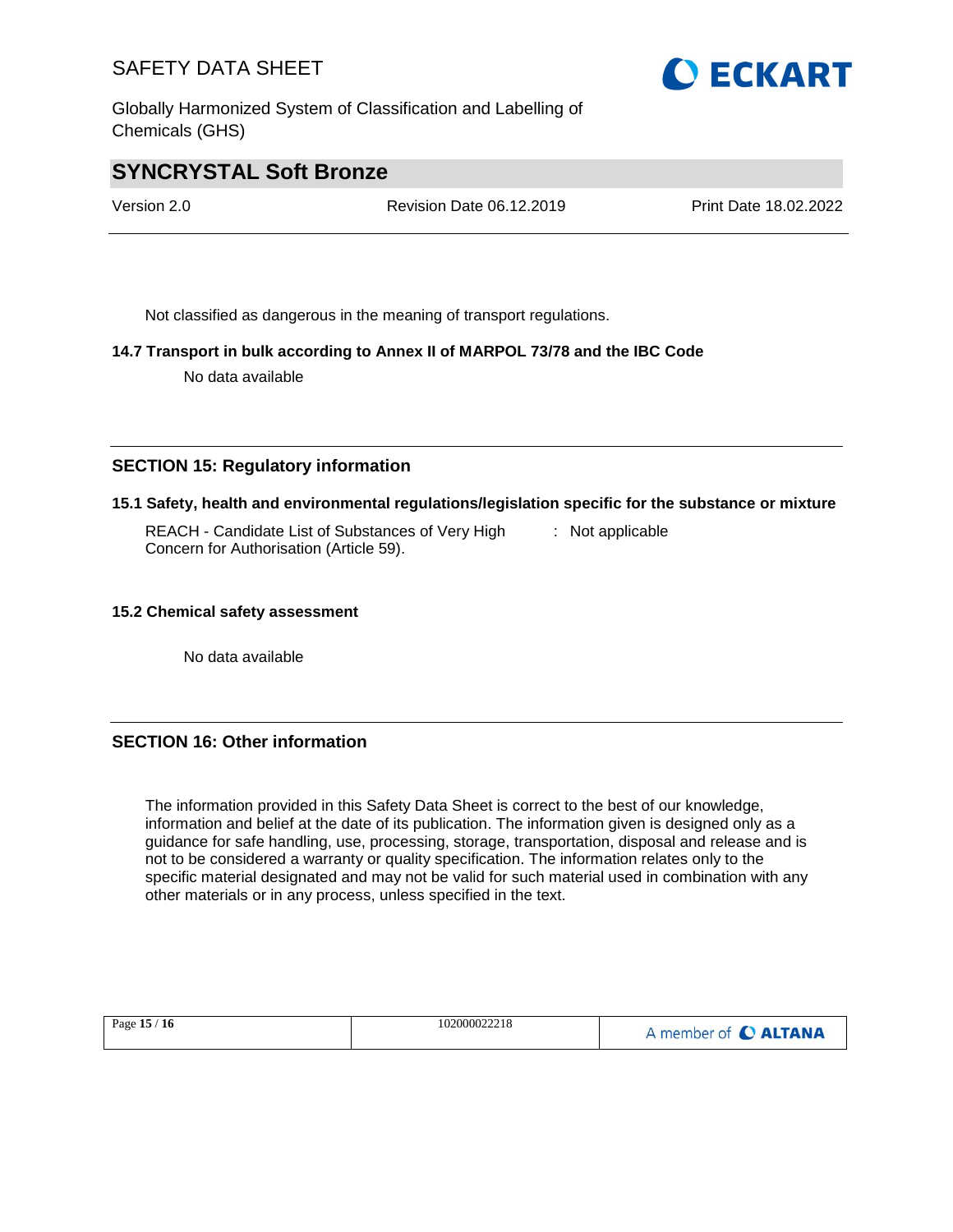Globally Harmonized System of Classification and Labelling of Chemicals (GHS)



# **SYNCRYSTAL Soft Bronze**

Version 2.0 Revision Date 06.12.2019 Print Date 18.02.2022

Not classified as dangerous in the meaning of transport regulations.

### **14.7 Transport in bulk according to Annex II of MARPOL 73/78 and the IBC Code**

No data available

### **SECTION 15: Regulatory information**

### **15.1 Safety, health and environmental regulations/legislation specific for the substance or mixture**

REACH - Candidate List of Substances of Very High Concern for Authorisation (Article 59). : Not applicable

#### **15.2 Chemical safety assessment**

No data available

### **SECTION 16: Other information**

The information provided in this Safety Data Sheet is correct to the best of our knowledge, information and belief at the date of its publication. The information given is designed only as a guidance for safe handling, use, processing, storage, transportation, disposal and release and is not to be considered a warranty or quality specification. The information relates only to the specific material designated and may not be valid for such material used in combination with any other materials or in any process, unless specified in the text.

|--|